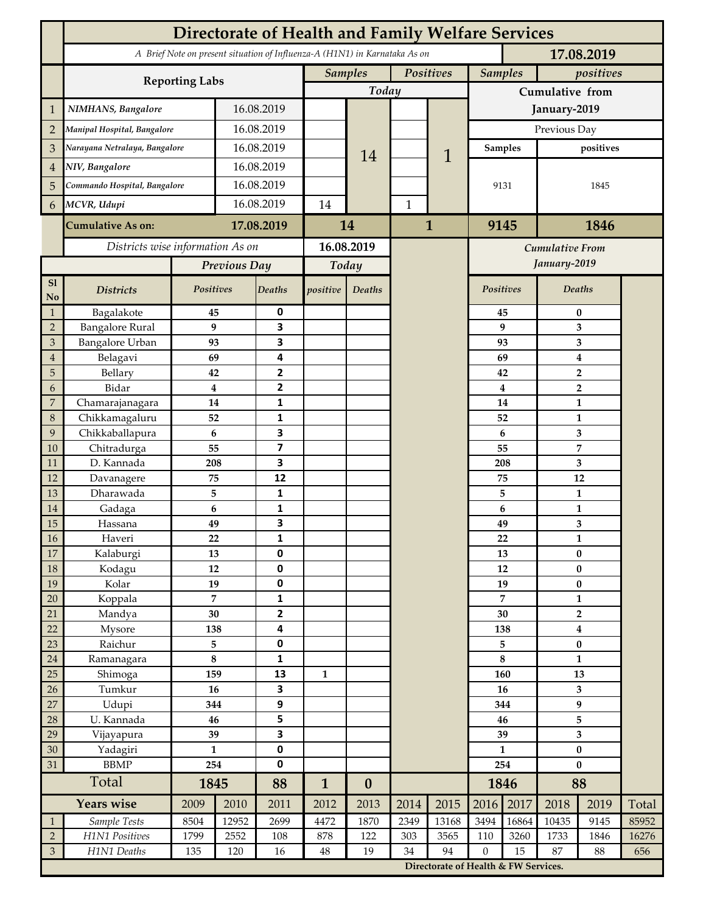|                                  | <b>Directorate of Health and Family Welfare Services</b>                                 |                      |              |                                |                             |                  |              |                                      |                         |                |                                |        |       |
|----------------------------------|------------------------------------------------------------------------------------------|----------------------|--------------|--------------------------------|-----------------------------|------------------|--------------|--------------------------------------|-------------------------|----------------|--------------------------------|--------|-------|
|                                  | A Brief Note on present situation of Influenza-A (H1N1) in Karnataka As on<br>17.08.2019 |                      |              |                                |                             |                  |              |                                      |                         |                |                                |        |       |
|                                  |                                                                                          |                      |              |                                | <b>Samples</b><br>Positives |                  |              | <b>Samples</b><br>positives          |                         |                |                                |        |       |
|                                  | <b>Reporting Labs</b>                                                                    |                      |              |                                | Today                       |                  |              |                                      | Cumulative from         |                |                                |        |       |
| $\mathbf 1$                      | NIMHANS, Bangalore                                                                       | 16.08.2019           |              |                                |                             |                  |              | January-2019                         |                         |                |                                |        |       |
| $\overline{2}$                   | Manipal Hospital, Bangalore                                                              |                      |              | 16.08.2019                     |                             |                  |              |                                      | Previous Day            |                |                                |        |       |
| 3                                | Narayana Netralaya, Bangalore                                                            |                      |              | 16.08.2019                     |                             |                  |              |                                      |                         | <b>Samples</b> | positives                      |        |       |
| $\overline{4}$                   | NIV, Bangalore                                                                           |                      |              | 16.08.2019                     |                             | 14               |              | 1                                    |                         |                |                                |        |       |
| 5                                | Commando Hospital, Bangalore                                                             |                      | 16.08.2019   |                                |                             |                  |              |                                      | 9131                    |                | 1845                           |        |       |
| 6                                | MCVR, Udupi                                                                              |                      | 16.08.2019   |                                | 14                          |                  | $\mathbf{1}$ |                                      |                         |                |                                |        |       |
|                                  |                                                                                          |                      |              |                                |                             |                  |              |                                      |                         |                |                                |        |       |
|                                  | <b>Cumulative As on:</b>                                                                 | 17.08.2019           |              | 14                             |                             |                  | $\mathbf{1}$ |                                      | 9145<br>1846            |                |                                |        |       |
|                                  | Districts wise information As on                                                         |                      |              | 16.08.2019                     |                             |                  |              | Cumulative From                      |                         |                |                                |        |       |
|                                  |                                                                                          | Previous Day         |              | Today                          |                             |                  |              | January-2019                         |                         |                |                                |        |       |
| S1<br><b>No</b>                  | <b>Districts</b>                                                                         | Positives            |              | Deaths                         | positive                    | Deaths           |              |                                      |                         | Positives      |                                | Deaths |       |
| $\mathbf{1}$                     | Bagalakote                                                                               | 45                   |              | 0                              |                             |                  |              |                                      | 45                      | 0              |                                |        |       |
| $\overline{2}$                   | <b>Bangalore Rural</b>                                                                   | 9                    |              | $\overline{\mathbf{3}}$        |                             |                  |              |                                      | 9                       |                | 3                              |        |       |
| $\mathfrak{Z}$<br>$\overline{4}$ | Bangalore Urban<br>Belagavi                                                              | 93<br>69             |              | 3<br>4                         |                             |                  |              |                                      |                         | 93<br>69       | 3                              |        |       |
| 5                                | Bellary                                                                                  | 42                   |              | $\overline{2}$                 |                             |                  |              |                                      |                         | 42             | $\bf{4}$<br>$\overline{2}$     |        |       |
| 6                                | Bidar                                                                                    |                      | 4            | $\mathbf{2}$                   |                             |                  |              |                                      | $\overline{\mathbf{4}}$ | $\overline{2}$ |                                |        |       |
| $\boldsymbol{7}$                 | Chamarajanagara                                                                          | 14                   |              | 1                              |                             |                  |              |                                      | 14                      |                | $\mathbf{1}$                   |        |       |
| $\,8\,$                          | Chikkamagaluru                                                                           | 52                   |              | 1                              |                             |                  |              |                                      |                         | 52             |                                | 1      |       |
| 9                                | Chikkaballapura                                                                          | 6                    |              | 3                              |                             |                  |              |                                      |                         | 6              |                                | 3      |       |
| 10                               | Chitradurga                                                                              | 55                   |              | $\overline{\mathbf{z}}$        |                             |                  |              |                                      |                         | 55             | 7                              |        |       |
| 11                               | D. Kannada                                                                               | 208                  |              | 3<br>12                        |                             |                  |              |                                      |                         | 208            | 3<br>12                        |        |       |
| 12<br>13                         | Davanagere<br>Dharawada                                                                  | 75<br>5              |              | $\mathbf{1}$                   |                             |                  |              |                                      |                         | 75<br>5        | $\mathbf{1}$                   |        |       |
| $14\,$                           | Gadaga                                                                                   | 6                    |              | 1                              |                             |                  |              |                                      |                         | 6              | $\mathbf{1}$                   |        |       |
| 15                               | Hassana                                                                                  | 49                   |              | 3                              |                             |                  |              |                                      |                         | 49             | 3                              |        |       |
| $16\,$                           | Haveri                                                                                   | 22                   |              | 1                              |                             |                  |              |                                      |                         | 22             | $\mathbf{1}$                   |        |       |
| $17\,$                           | Kalaburgi                                                                                | 13                   |              | $\mathbf 0$                    |                             |                  |              |                                      | 13                      |                | $\bf{0}$                       |        |       |
| $18\,$                           | Kodagu                                                                                   | $12\,$               |              | $\pmb{0}$                      |                             |                  |              |                                      |                         | 12             | $\pmb{0}$                      |        |       |
| 19                               | Kolar                                                                                    | 19                   |              | $\pmb{0}$                      |                             |                  |              |                                      | 19                      |                | $\pmb{0}$                      |        |       |
| $20\,$                           | Koppala                                                                                  | $\overline{7}$<br>30 |              | $\mathbf{1}$<br>$\overline{2}$ |                             |                  |              |                                      | $\overline{7}$<br>30    |                | $\mathbf{1}$<br>$\overline{2}$ |        |       |
| 21<br>22                         | Mandya<br>Mysore                                                                         | 138                  |              | $\overline{\mathbf{4}}$        |                             |                  |              |                                      | 138                     |                | $\boldsymbol{4}$               |        |       |
| 23                               | Raichur                                                                                  | 5                    |              | $\pmb{0}$                      |                             |                  |              |                                      | 5                       |                | $\pmb{0}$                      |        |       |
| $24\,$                           | Ramanagara                                                                               | $\bf 8$              |              | $\mathbf 1$                    |                             |                  |              |                                      | $\bf 8$                 |                | $\mathbf{1}$                   |        |       |
| 25                               | Shimoga                                                                                  | 159                  |              | 13                             | $\mathbf{1}$                |                  |              |                                      | 160                     |                | 13                             |        |       |
| 26                               | Tumkur                                                                                   | 16                   |              | 3                              |                             |                  |              |                                      | 16                      |                | 3                              |        |       |
| $27\,$                           | Udupi                                                                                    | 344                  |              | $\boldsymbol{9}$               |                             |                  |              |                                      | 344                     |                | 9                              |        |       |
| 28                               | U. Kannada                                                                               | 46                   |              | 5                              |                             |                  |              |                                      | 46                      |                | 5                              |        |       |
| 29                               | Vijayapura                                                                               | 39                   |              | $\overline{\mathbf{3}}$        |                             |                  |              |                                      | 39                      |                | 3                              |        |       |
| $30\,$<br>31                     | Yadagiri<br><b>BBMP</b>                                                                  | $\mathbf{1}$<br>254  |              | $\pmb{0}$<br>$\pmb{0}$         |                             |                  |              |                                      | $\mathbf{1}$<br>254     |                | $\pmb{0}$<br>$\bf{0}$          |        |       |
|                                  | Total                                                                                    |                      | 1845         |                                | $\mathbf{1}$                | $\boldsymbol{0}$ |              |                                      |                         | 1846           | 88                             |        |       |
|                                  | <b>Years wise</b>                                                                        |                      | 2009<br>2010 |                                | 2012                        | 2013             | 2014         | 2015                                 | 2016                    | 2017           | 2018                           | 2019   | Total |
| $\mathbf{1}$                     | Sample Tests                                                                             | 8504                 | 12952        | 2011<br>2699                   | 4472                        | 1870             | 2349         | 13168                                | 3494                    | 16864          | 10435                          | 9145   | 85952 |
| $\sqrt{2}$                       | H1N1 Positives                                                                           | 1799                 | 2552         | 108                            | 878                         | 122              | 303          | 3565                                 | 110                     | 3260           | 1733                           | 1846   | 16276 |
| $\mathfrak{Z}$                   | H1N1 Deaths                                                                              | 135                  | 120          | 16                             | 48                          | 19               | 34           | 94                                   | $\boldsymbol{0}$        | 15             | 87                             | 88     | 656   |
|                                  |                                                                                          |                      |              |                                |                             |                  |              | Directorate of Health & FW Services. |                         |                |                                |        |       |